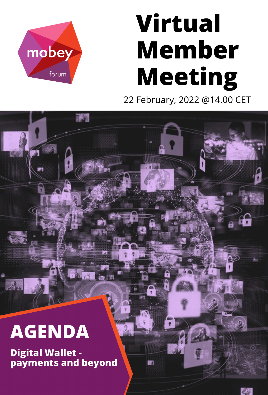# **Virtual Member Meeting** 22 February, 2022 @14.00 CET